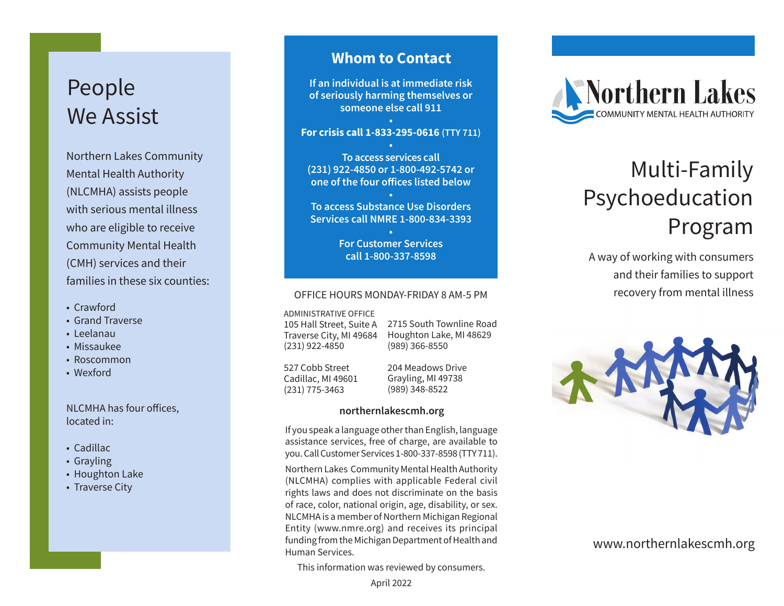## People We Assist

Northern Lakes Community Mental Health Authority (NLCMHA) assists people with serious mental illness who are eligible to receive Community Mental Health (CMH) services and their families in these six counties:

- Crawford
- Grand Traverse
- Leelanau
- Missaukee
- Roscommon
- Wexford

NLCMHA has four offices, located in:

- Cadillac
- Grayling
- Houghton Lake
- Traverse City

### **Whom to Contact**

**If an individual is at immediate risk of seriously harming themselves or someone else call 911**

#### **• For crisis call 1-833-295-0616 (TTY 711)**

**• To access services call (231) 922-4850 or 1-800-492-5742 or one of the four offices listed below**

**• To access Substance Use Disorders Services call NMRE 1-800-834-3393**

> **• For Customer Services call 1-800-337-8598**

#### OFFICE HOURS MONDAY-FRIDAY 8 AM-5 PM

ADMINISTRATIVE OFFICE

105 Hall Street, Suite A Traverse City, MI 49684 (231) 922-4850

2715 South Townline Road Houghton Lake, MI 48629 (989) 366-8550

527 Cobb Street Cadillac, MI 49601 (231) 775-3463

204 Meadows Drive Grayling, MI 49738 (989) 348-8522

#### **northernlakescmh.org**

If you speak a language other than English, language assistance services, free of charge, are available to you. Call Customer Services 1-800-337-8598 (TTY 711).

Northern Lakes Community Mental Health Authority (NLCMHA) complies with applicable Federal civil rights laws and does not discriminate on the basis of race, color, national origin, age, disability, or sex. NLCMHA is a member of Northern Michigan Regional Entity (www.nmre.org) and receives its principal funding from the Michigan Department of Health and Human Services.

This information was reviewed by consumers.



# Multi-Family Psychoeducation Program

A way of working with consumers and their families to support recovery from mental illness



www.northernlakescmh.org